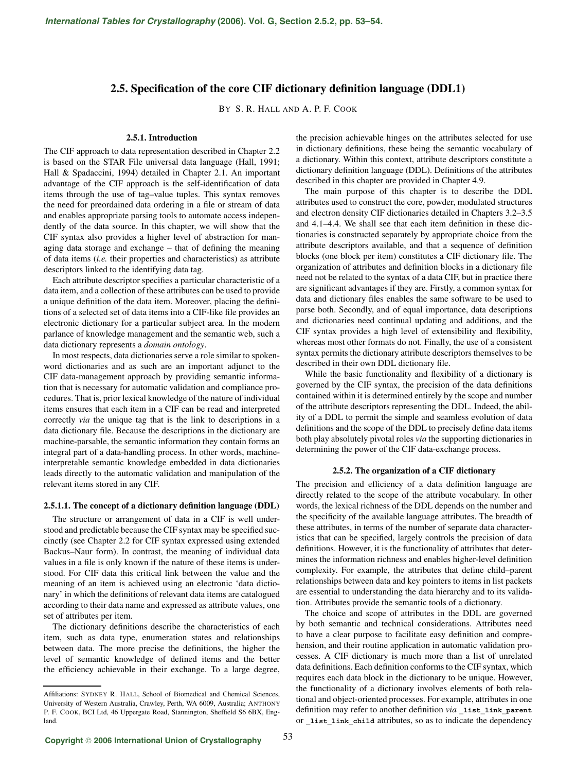# **2.5. Specification of the core CIF dictionary definition language (DDL1)**

BY S. R. HALL AND A. P. F. COOK

## **2.5.1. Introduction**

The CIF approach to data representation described in Chapter 2.2 is based on the STAR File universal data language (Hall, 1991; Hall & Spadaccini, 1994) detailed in Chapter 2.1. An important advantage of the CIF approach is the self-identification of data items through the use of tag–value tuples. This syntax removes the need for preordained data ordering in a file or stream of data and enables appropriate parsing tools to automate access independently of the data source. In this chapter, we will show that the CIF syntax also provides a higher level of abstraction for managing data storage and exchange – that of defining the meaning of data items (*i.e.* their properties and characteristics) as attribute descriptors linked to the identifying data tag.

Each attribute descriptor specifies a particular characteristic of a data item, and a collection of these attributes can be used to provide a unique definition of the data item. Moreover, placing the definitions of a selected set of data items into a CIF-like file provides an electronic dictionary for a particular subject area. In the modern parlance of knowledge management and the semantic web, such a data dictionary represents a *domain ontology*.

In most respects, data dictionaries serve a role similar to spokenword dictionaries and as such are an important adjunct to the CIF data-management approach by providing semantic information that is necessary for automatic validation and compliance procedures. That is, prior lexical knowledge of the nature of individual items ensures that each item in a CIF can be read and interpreted correctly *via* the unique tag that is the link to descriptions in a data dictionary file. Because the descriptions in the dictionary are machine-parsable, the semantic information they contain forms an integral part of a data-handling process. In other words, machineinterpretable semantic knowledge embedded in data dictionaries leads directly to the automatic validation and manipulation of the relevant items stored in any CIF.

# **2.5.1.1. The concept of a dictionary definition language (DDL)**

The structure or arrangement of data in a CIF is well understood and predictable because the CIF syntax may be specified succinctly (see Chapter 2.2 for CIF syntax expressed using extended Backus–Naur form). In contrast, the meaning of individual data values in a file is only known if the nature of these items is understood. For CIF data this critical link between the value and the meaning of an item is achieved using an electronic 'data dictionary' in which the definitions of relevant data items are catalogued according to their data name and expressed as attribute values, one set of attributes per item.

The dictionary definitions describe the characteristics of each item, such as data type, enumeration states and relationships between data. The more precise the definitions, the higher the level of semantic knowledge of defined items and the better the efficiency achievable in their exchange. To a large degree, the precision achievable hinges on the attributes selected for use in dictionary definitions, these being the semantic vocabulary of a dictionary. Within this context, attribute descriptors constitute a dictionary definition language (DDL). Definitions of the attributes described in this chapter are provided in Chapter 4.9.

The main purpose of this chapter is to describe the DDL attributes used to construct the core, powder, modulated structures and electron density CIF dictionaries detailed in Chapters 3.2–3.5 and 4.1–4.4. We shall see that each item definition in these dictionaries is constructed separately by appropriate choice from the attribute descriptors available, and that a sequence of definition blocks (one block per item) constitutes a CIF dictionary file. The organization of attributes and definition blocks in a dictionary file need not be related to the syntax of a data CIF, but in practice there are significant advantages if they are. Firstly, a common syntax for data and dictionary files enables the same software to be used to parse both. Secondly, and of equal importance, data descriptions and dictionaries need continual updating and additions, and the CIF syntax provides a high level of extensibility and flexibility, whereas most other formats do not. Finally, the use of a consistent syntax permits the dictionary attribute descriptors themselves to be described in their own DDL dictionary file.

While the basic functionality and flexibility of a dictionary is governed by the CIF syntax, the precision of the data definitions contained within it is determined entirely by the scope and number of the attribute descriptors representing the DDL. Indeed, the ability of a DDL to permit the simple and seamless evolution of data definitions and the scope of the DDL to precisely define data items both play absolutely pivotal roles *via* the supporting dictionaries in determining the power of the CIF data-exchange process.

#### **2.5.2. The organization of a CIF dictionary**

The precision and efficiency of a data definition language are directly related to the scope of the attribute vocabulary. In other words, the lexical richness of the DDL depends on the number and the specificity of the available language attributes. The breadth of these attributes, in terms of the number of separate data characteristics that can be specified, largely controls the precision of data definitions. However, it is the functionality of attributes that determines the information richness and enables higher-level definition complexity. For example, the attributes that define child–parent relationships between data and key pointers to items in list packets are essential to understanding the data hierarchy and to its validation. Attributes provide the semantic tools of a dictionary.

The choice and scope of attributes in the DDL are governed by both semantic and technical considerations. Attributes need to have a clear purpose to facilitate easy definition and comprehension, and their routine application in automatic validation processes. A CIF dictionary is much more than a list of unrelated data definitions. Each definition conforms to the CIF syntax, which requires each data block in the dictionary to be unique. However, the functionality of a dictionary involves elements of both relational and object-oriented processes. For example, attributes in one definition may refer to another definition *via* **\_list\_link\_parent** or **list** link child attributes, so as to indicate the dependency

Affiliations: SYDNEY R. HALL, School of Biomedical and Chemical Sciences, University of Western Australia, Crawley, Perth, WA 6009, Australia; ANTHONY P. F. COOK, BCI Ltd, 46 Uppergate Road, Stannington, Sheffield S6 6BX, England.